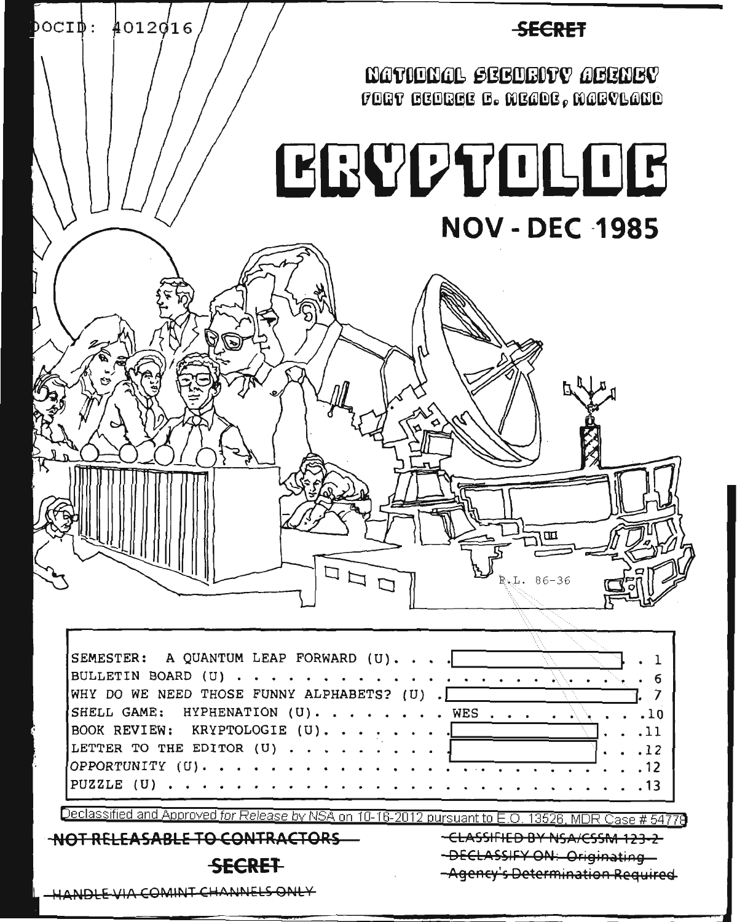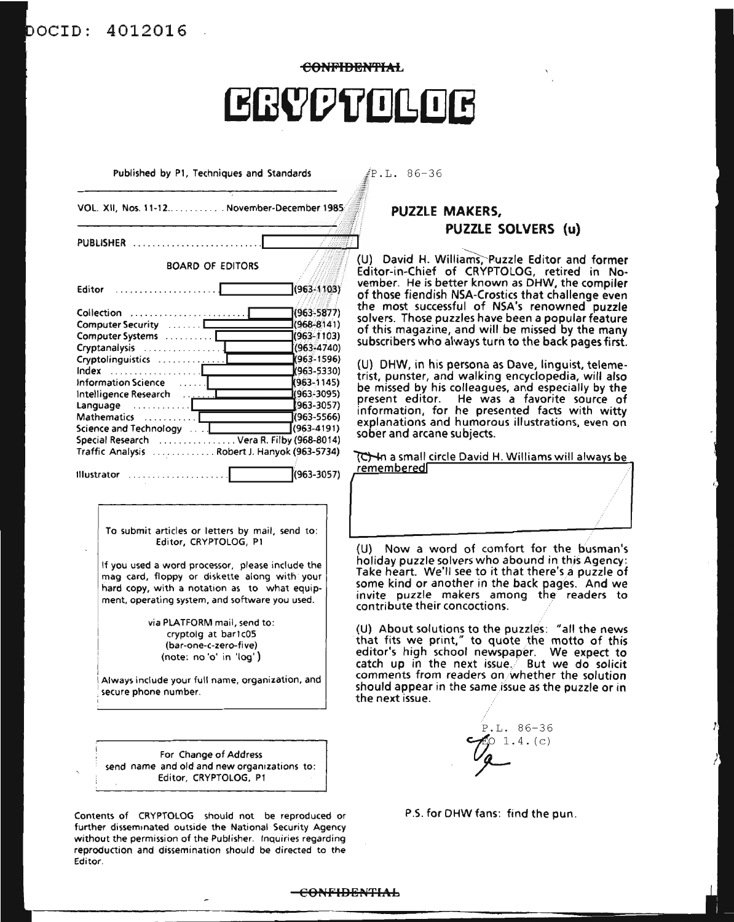## aCID: 4012016

**eONFIBEN'fIAL ERYPTOLOG** 

Published by PI, Techniques and Standards

 $P.L. 86-36$ 

| PUBLISHER                    |                                                                                                                                                                                                                                                                                                                                      |
|------------------------------|--------------------------------------------------------------------------------------------------------------------------------------------------------------------------------------------------------------------------------------------------------------------------------------------------------------------------------------|
|                              | <b>BOARD OF EDITORS</b>                                                                                                                                                                                                                                                                                                              |
| Editor<br>.                  | $(963 - 1103)$                                                                                                                                                                                                                                                                                                                       |
| Collection                   | (963-5877)                                                                                                                                                                                                                                                                                                                           |
| Computer Security            | $(968 - 8141)$                                                                                                                                                                                                                                                                                                                       |
| Computer Systems             | $(963 - 1103)$                                                                                                                                                                                                                                                                                                                       |
| Cryptanalysis                | $(963 - 4740)$                                                                                                                                                                                                                                                                                                                       |
|                              | (963-1596)                                                                                                                                                                                                                                                                                                                           |
| Index                        | K963-5330)                                                                                                                                                                                                                                                                                                                           |
| Information Science          | $(963 - 1145)$<br>. 1                                                                                                                                                                                                                                                                                                                |
| Intelligence Research        | مسين.<br>مسينيات<br>(963-3095)                                                                                                                                                                                                                                                                                                       |
| $Language \dots \dots \dots$ | $(963 - 3057)$                                                                                                                                                                                                                                                                                                                       |
| Mathematics                  | $(963 - 5566)$                                                                                                                                                                                                                                                                                                                       |
| Science and Technology       | $(963 - 4191)$                                                                                                                                                                                                                                                                                                                       |
|                              | Special Research  Vera R. Filby (968-8014)<br>Traffic Analysis Robert J. Hanyok (963-5734)                                                                                                                                                                                                                                           |
| <b>Illustrator</b><br>.      | (963-3057)                                                                                                                                                                                                                                                                                                                           |
|                              | To submit articles or letters by mail, send to:<br>Editor, CRYPTOLOG, P1<br>If you used a word processor, please include the<br>mag card, floppy or diskette along with your<br>hard copy, with a notation as to what equip-<br>ment, operating system, and software you used.<br>via PLATFORM mail, send to:<br>cryptolg at bar1c05 |
|                              | (bar-one-c-zero-five)<br>(note: no 'o' in 'log')                                                                                                                                                                                                                                                                                     |

For Change of Address send name and old and new organizations to: Editor, CRYPTOLOG, PI

Contents of CRYPTOLOG should not be reproduced or further disseminated outside the National Security Agency Without the permission of the Publisher. Inquiries regarding reproduction and dissemination should be directed to the Editor.

### **PUZZLE MAKERS, PUZZLE SOLVERS (u)**

(U) David H. Williams, Puzzle Editor and former Editor-in-Chief of CRYPTOLOG, retired in Noember. He is better known as DHW, the compiler f those fiendish NSA-Crostics that challenge even the most successful of NSA's renowned puzzle olvers. Those puzzles have been a popular feature f this magazine, and will be missed by the many Ibscribers who always turn to the back pages first.

() DHW, in his persona as Dave, linguist, telemeist, punster, and walking encyclopedia, will also be missed by his colleagues, and especially by the present editor. He was a favorite source of information, for he presented facts with witty explanations and humorous illustrations, even on sober and arcane subjects.

a small circle David H. Williams will always be  $embmed$ 

(U) Now a word of comfort for the busman's oliday puzzle solvers who abound in this Agency: ake heart. We'll see to it that there's a puzzle of some kind or another in the back pages. And we invite puzzle makers among the readers to ontribute their concoctions.

(U) About solutions to the puzzles: "all the news that fits we print," to quote the motto of this ditor's high school newspaper. We expect to atch up in the next issue. $\ell$  But we do solicit comments from readers on/whether the solution ould appear in the same issue as the puzzle or in te next issue.

P.L. 86-36  $1.4. (c)$ *r*

P.S. for DHW fans: find the pun.

#### $-**convFIDENTHAL**$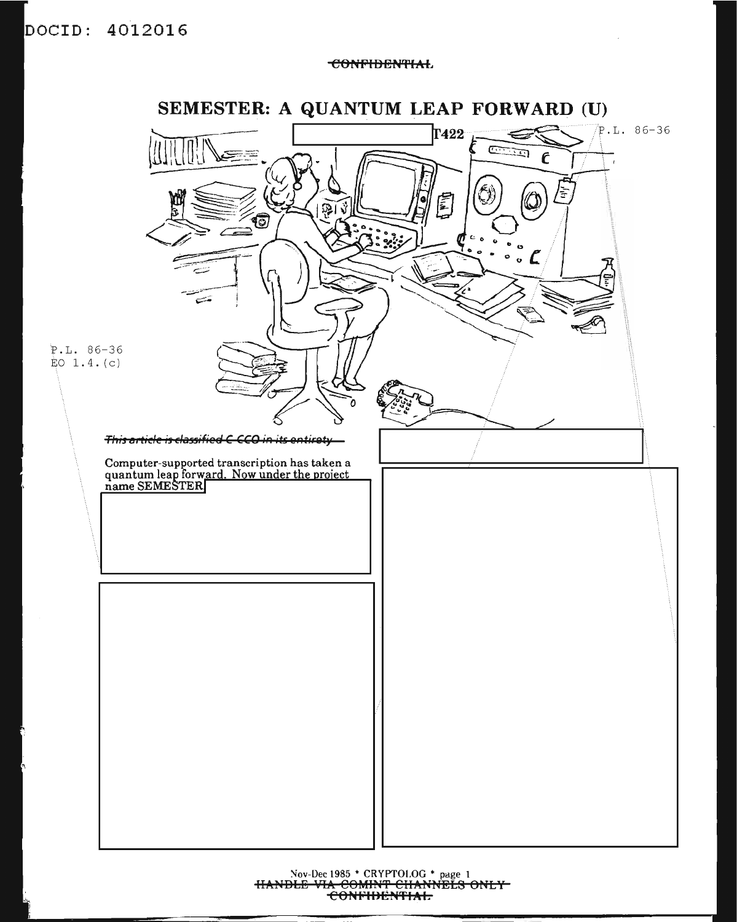### DOCID: 4012016

**CONFIDENTIAL** 



Nov-Dec 1985 \* CRYPTOLOG \* page 1<br>HANDLE VIA COMINT CHANNELS ONLY<br>CONFIDENTIAL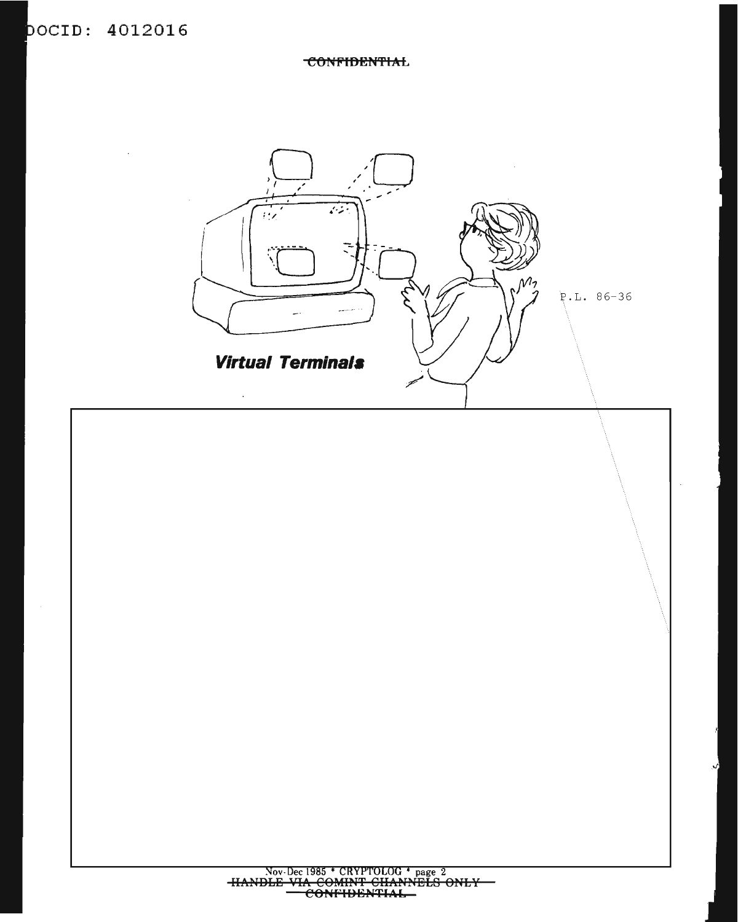**CONFIDENTIAL** 

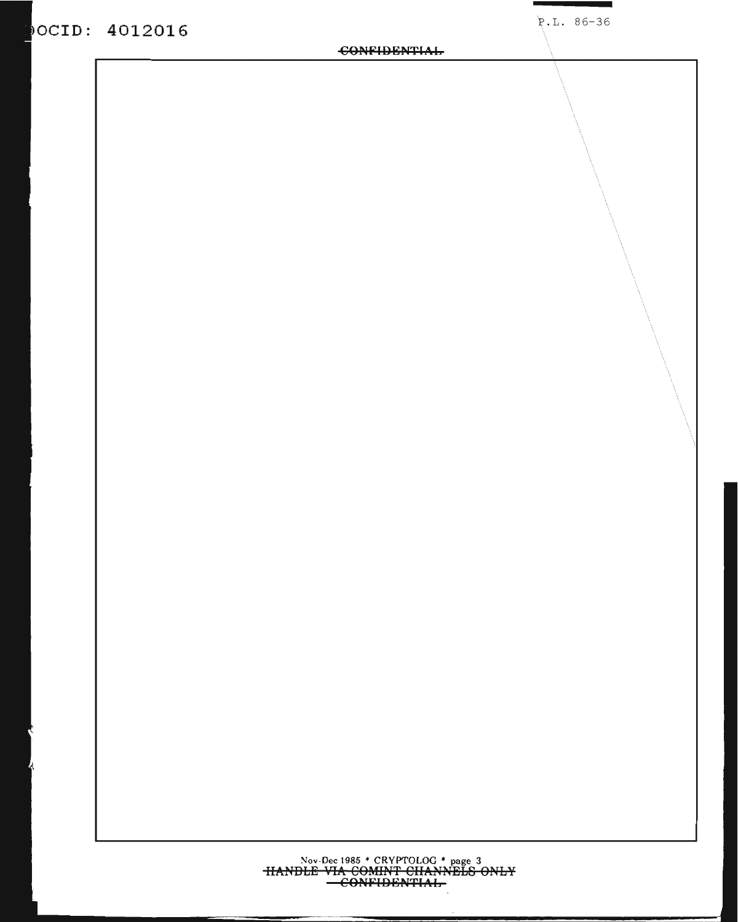### OCID: 4012016

#### **CONFIDENTIAL**

Nov-Dec 1985 \* CRYPTOLOG \* page 3<br>HANDLE VIA-COMINT CHANNELS ONLY<br>-CONFIDENTIAL-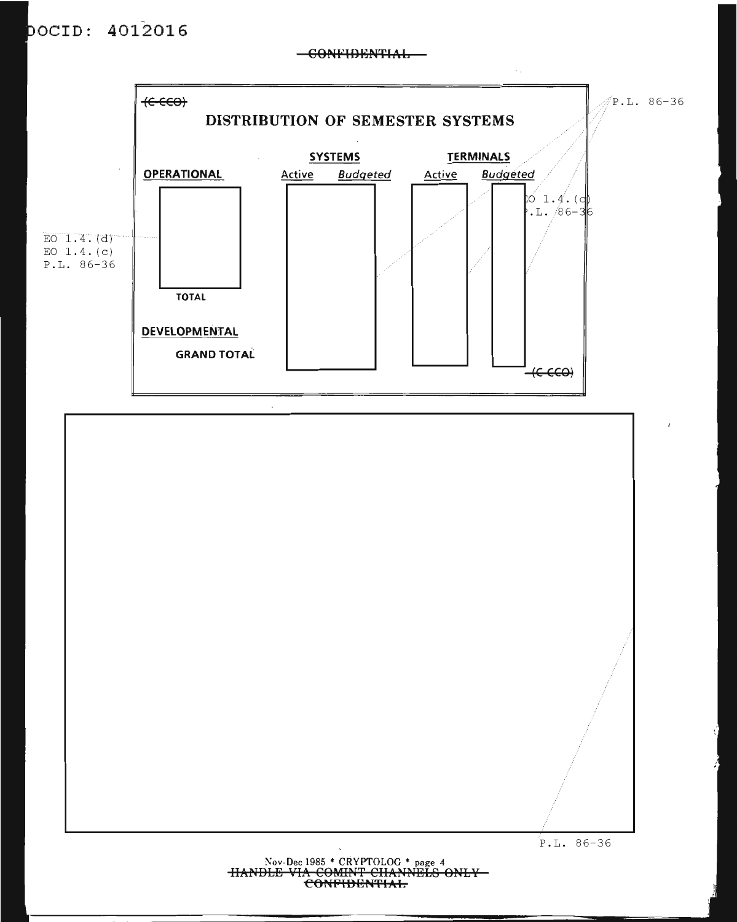### **aCID: 4012016**

#### $-$ CONFIDENTIAL $-$



#### Nov-Dec 1985 \* CRYPTOLOG \* page 4 **IIA?tDL:S VIA COMlH'f CIIA?HlELS onLY COr,FltlIilPHIAL**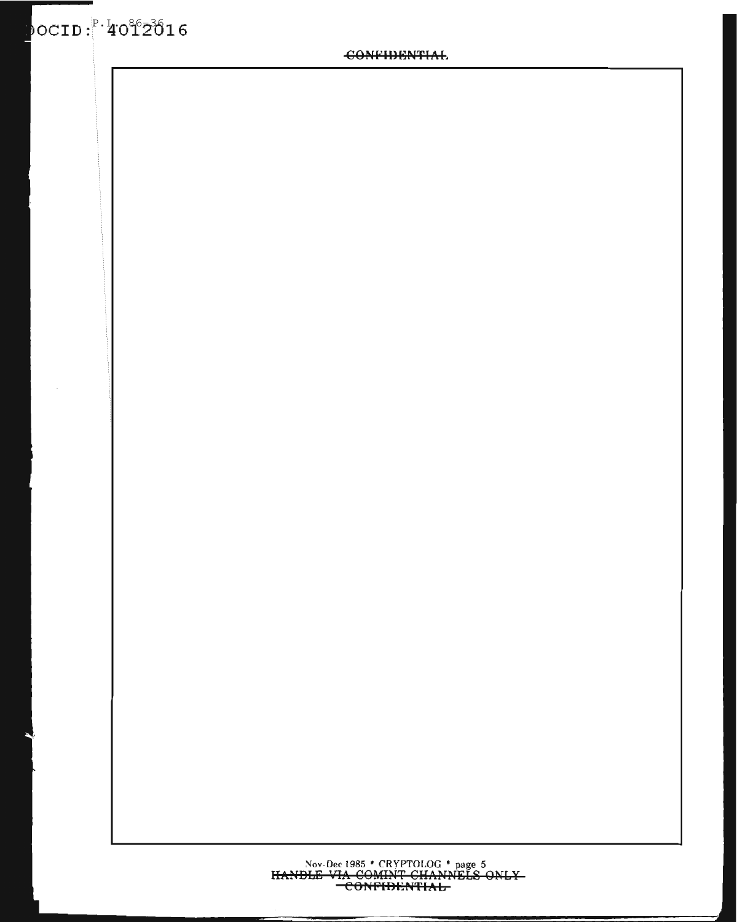# Nov-Dec 1985 \* CRYPTOLOG \* page 5<br>HANDLE VIA COMINT CHANNELS ONLY-<br>CONFIDENTIAL-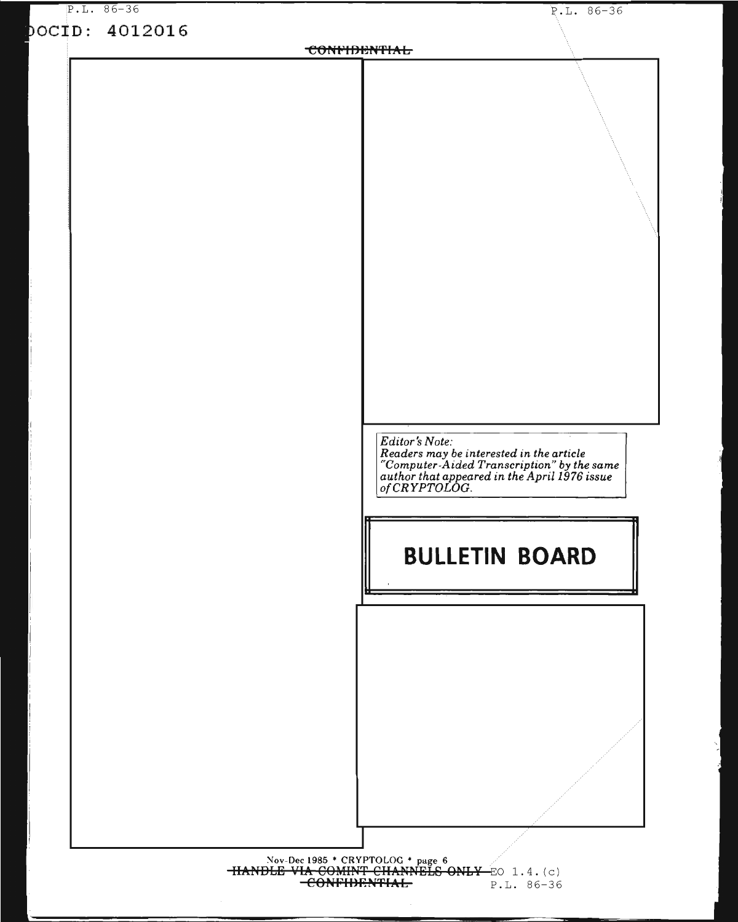| $P.L. 86-36$<br>pocip: 4012016 | $P.L. 86-36$                                                                                                                                            |
|--------------------------------|---------------------------------------------------------------------------------------------------------------------------------------------------------|
|                                | <b>CONFIDENTIAL</b>                                                                                                                                     |
|                                |                                                                                                                                                         |
|                                |                                                                                                                                                         |
|                                |                                                                                                                                                         |
|                                |                                                                                                                                                         |
|                                |                                                                                                                                                         |
|                                |                                                                                                                                                         |
|                                |                                                                                                                                                         |
|                                |                                                                                                                                                         |
|                                |                                                                                                                                                         |
|                                |                                                                                                                                                         |
|                                |                                                                                                                                                         |
|                                |                                                                                                                                                         |
|                                |                                                                                                                                                         |
|                                |                                                                                                                                                         |
|                                |                                                                                                                                                         |
|                                |                                                                                                                                                         |
|                                |                                                                                                                                                         |
|                                |                                                                                                                                                         |
|                                | Editor's Note:                                                                                                                                          |
|                                |                                                                                                                                                         |
|                                | Readers may be interested in the article<br>"Computer-Aided Transcription" by the same<br>author that appeared in the April 1976 issue<br>of CRYPTOLOG. |
|                                |                                                                                                                                                         |
|                                |                                                                                                                                                         |
|                                |                                                                                                                                                         |
|                                | <b>BULLETIN BOARD</b>                                                                                                                                   |
|                                |                                                                                                                                                         |
|                                |                                                                                                                                                         |
|                                |                                                                                                                                                         |
|                                |                                                                                                                                                         |
|                                |                                                                                                                                                         |
|                                |                                                                                                                                                         |
|                                |                                                                                                                                                         |
|                                |                                                                                                                                                         |
|                                |                                                                                                                                                         |
|                                |                                                                                                                                                         |
|                                |                                                                                                                                                         |
|                                |                                                                                                                                                         |
|                                |                                                                                                                                                         |

HANDLE VIA COMINT CHANNELS ONLY EQ. 1.4. (c)<br>CONFIDENTIAL P.L. 86-36  $P.L. 86-36$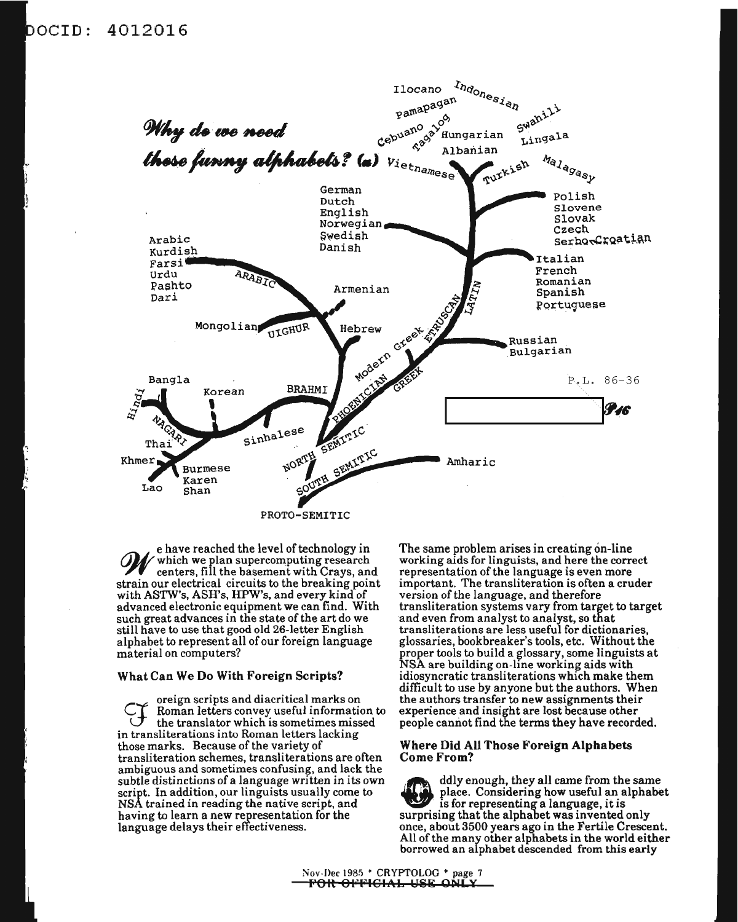### <code>bocib</code>: 4012016



e have reached the level of technology in which we plan supercomputing research **71** centers, fill the basement with Crays, and strain our electrical circuits to the breaking point with ASTW's, ASH's, HPW's, and every kind of advanced electronic equipment we can find. With such great advances in the state of the art do we still have to use that good old 26-letter English alphabet to represent all ofour foreign language material on computers?

#### What Can We Do With Foreign Scripts?

oreign scripts and diacritical marks on<br>Roman letters convey useful information to the translator which is sometimes missed in transliterations into Roman letters lacking those marks. Because of the variety of transliteration schemes, transliterations are often ambiguous and sometimes confusing, and lack the subtle distinctions of a language written in its own script. In addition, our linguists usually come to NSA trained in reading the native script, and having to learn a new representation for the language delays their effectiveness.

The same problem arises in creating on-line working aids for linguists, and here the correct representation of the language is even more important. The transliteration is often a cruder version of the language, and therefore transliteration systems vary from target to target and even from analyst to analyst, so that transliterations are less useful for dictionaries, glossaries, bookbreaker's tools, etc. Without the proper tools to build a glossary, some linguists at NSA are building on-line working aids with idiosyncratic transliterations which make them difficult to use by anyone but the authors. When the authors transfer to new assignments their experience and insight are lost because other people cannot find the terms they have recorded.

#### Where Did All Those Foreign Alphabets Come From?

• ddly enough, they all came from the same<br>place. Considering how useful an alphabet<br>is for representing a language, it is surprising that the alphabet was invented only once, about 3500 years ago in the Fertile Crescent. All of the many other alphabets in the world either borrowed an alphabet descended from this early

Nov-Dec 1985 \* CRYPTOLOG \* page 7 FOR OFFICIAL USE ONLY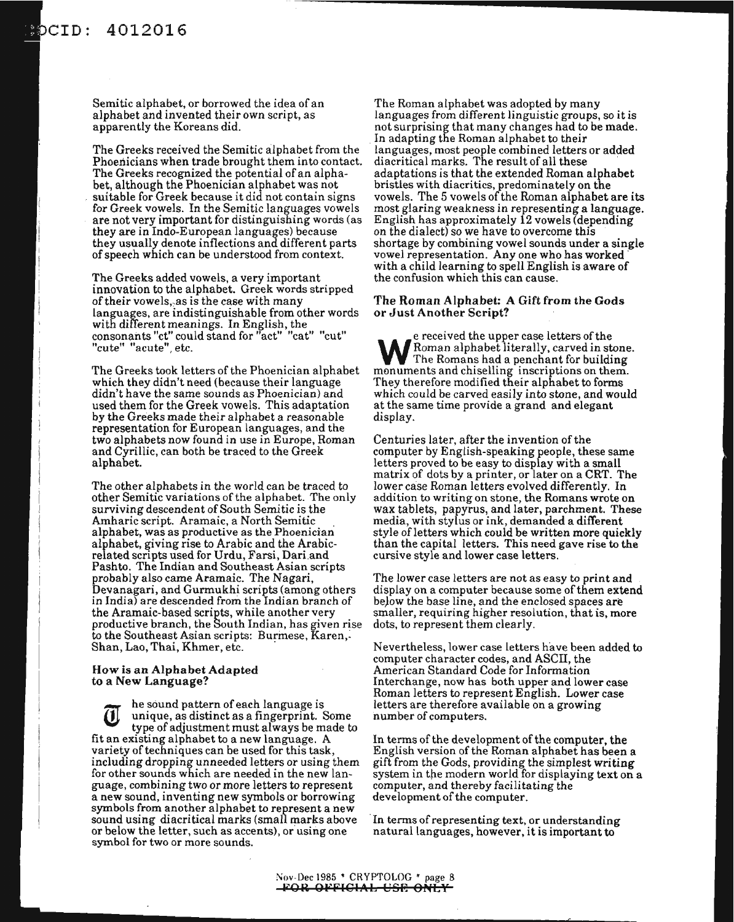Semitic alphabet, or borrowed the idea of an alphabet and invented their own script, as apparently the Koreans did.

The Greeks received the Semitic alphabet from the Phoenicians when trade brought them into contact. The Greeks recognized the potential of an alphabet, although the Phoenician alphabet was not suitable for Greek because it did not contain signs for Greek vowels. In the Semitic languages vowels are not very important for distinguishing words (as they are in Indo-European languages) because they usually denote inflections and different parts ofspeech which can be understood from context.

The Greeks added vowels, a very important innovation to the alphabet. Greek words stripped of their vowels, as is the case with many languages, are indistinguishable from other words with different meanings. In English, the consonants "ct" could stand for "act" "cat" "cut" "cute" "acute", etc.

The Greeks took letters of the Phoenician alphabet which they didn't need (because their language didn't have the same sounds as Phoenician) and used them for the Greek vowels. This adaptation by the Greeks made their alphabet a reasonable representation for European languages, and the two alphabets now found in use in Europe, Roman and Cyrillic, can both be traced to the Greek alphabet.

The other alphabets in the world can be traced to other Semitic variations of the alphabet. The only surviving descendent of South Semitic is the<br>Amharic script. Aramaic, a North Semitic alphabet, was as productive as the Phoenician alphabet, giving rise to Arabic and the Arabicrelated scripts used for Urdu, Farsi, Dari and Pashto. The Indian and Southeast Asian scripts probably also came Aramaic. The Nagari, Devanagari, and Gurmukhi scripts (among others in India) are descended from the Indian branch of the Aramaic-based scripts, while another very productive branch, the South Indian, has given rise to the Southeast Asian scripts: Burmese, Karen,: Shan, Lao, Thai, Khmer, etc. .

#### How is an Alphabet Adapted to a New Language?

he sound pattern of each language is<br>unique, as distinct as a fingerprint. Some type of adjustment must always be made to fit an existing alphabet to a new language. A variety of techniques can be used for this task, including dropping unneeded letters or using them for other sounds which are needed in the new language, combining two or more letters to represent a new sound, inventing new symbols or borrowing symbols from another alphabet to represent a new sound using diacritical marks (small marks above or below the letter, such as accents), or using one symbol for two or more sounds.

The Roman alphabet was adopted by many languages from different linguistic groups, so it is notsurprising that many changes had to be made. In adapting the Roman alphabet to their languages, most people combined letters or added adaptations is that the extended Roman alphabet bristles with diacritics, predominately on the vowels. The 5 vowels of the Roman alphabet are its most glaring weakness in representing a language. English has approximately 12 vowels (depending on the dialect) so we have to overcome this shortage by combining vowel sounds under a single vowel representation. Anyone who has worked' with a child learning to spell English is aware of the confusion which this can cause.

#### The Roman Alphabet: A Gift from the Gods or Just Another Script?

e received the upper case letters of the<br>Roman alphabet literally, carved in stone. We Roman alphabet literally, carved in stone.<br>The Romans had a penchant for building monuments and chiselling inscriptions on them. They therefore modified their alphabet to forms which could be carved easily into stone, and would at the same time provide a grand and elegant display.

Centuries later, after the invention of the computer by English-speaking people, these same letters proved to be easy to display with a small matrix of dots by a printer, or later on a CRT. The lower case Roman letters evolved differently. In addition to writing on stone, the Romans wrote on wax tablets, papyrus, and later, parchment. These media, with stylus or ink, demanded a different style of letters which could be written more quickly than the capital letters. This need gave rise to the cursive style and lower case letters.

The lower case letters are not as easy to print and display on a computer because some of them extend be)ow the base line, and the enclosed spaces are smaller, requiring higher resolution, that is, more dots, to represent them clearly.

Nevertheless, lower case letters have been added to computer character codes, and ASCII, the American Standard Code for Information Interchange, now has both upper and lower case Roman letters to represent English. Lower case letters are therefore available on a growing number of computers.

In terms of the development of the computer, the English version ofthe Roman alphabet has been a gift from the Gods, providing the simplest writing system in the modern world for displaying text on a computer, and thereby facilitating the development of the computer.

In terms of representing text, or understanding natural languages, however, it is important to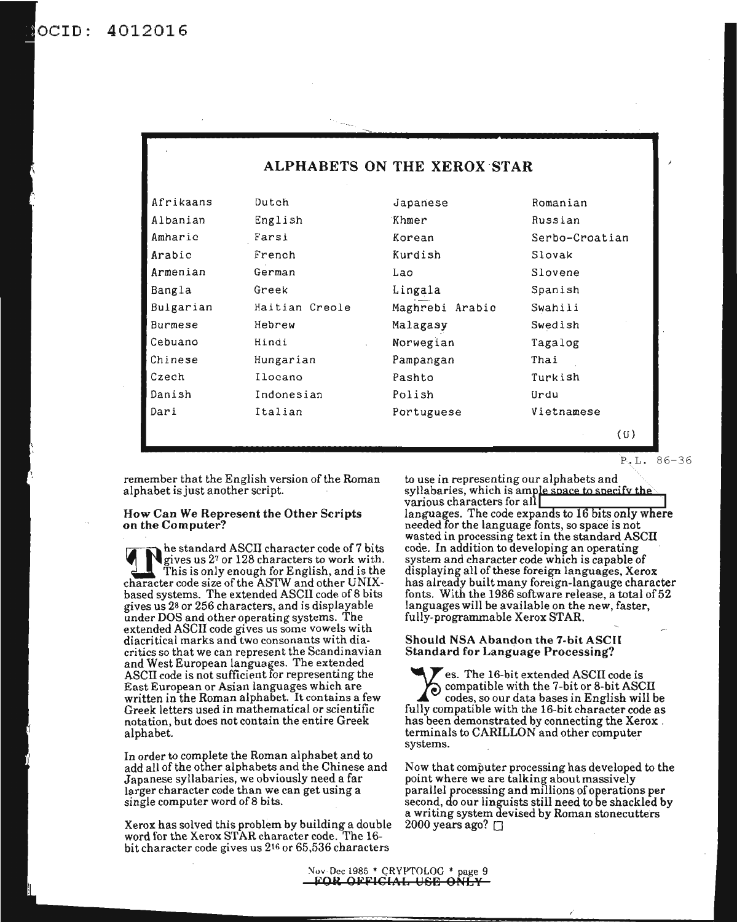4012016 OCID:

| ALPHABETS ON THE XEROX STAR |                |                          |            |  |  |  |  |
|-----------------------------|----------------|--------------------------|------------|--|--|--|--|
| Afrikaans                   | Dutch          | Japanese                 | Romanian   |  |  |  |  |
| Albanian                    | English        | Khmer                    | Russian    |  |  |  |  |
| Amharic                     | Farsi          | Serbo-Croatian<br>Korean |            |  |  |  |  |
| Arabic                      | French         | Kurdish                  | Slovak     |  |  |  |  |
| Armenian                    | German         | Lao                      | Slovene    |  |  |  |  |
| Bangla                      | Greek          | Lingala                  | Spanish    |  |  |  |  |
| Bulgarian                   | Haitian Creole | Maghrebi Arabic          | Swahili    |  |  |  |  |
| Burmese                     | Hebrew         | Malagasy                 | Swedish    |  |  |  |  |
| Cebuano                     | Hindi          | Norwegian                | Tagalog    |  |  |  |  |
| Chinese                     | Hungarian      | Pampangan                | Thai       |  |  |  |  |
| Czech                       | Ilocano        | Pashto                   | Turkish    |  |  |  |  |
| Danish                      | Indonesian     | Polish                   | Urdu       |  |  |  |  |
| Dari                        | Italian        | Portuguese               | Vietnamese |  |  |  |  |
|                             |                |                          | (U)        |  |  |  |  |

P.L.86-36

remember that the English version of the Roman alphabet isjust another script.

#### How Can We Represent the Other Scripts on the Computer?

he standard ASCII character codeof7 bits gives us 27 or 128 characters to work with. This is only enough for English, and is the character code size of the ASTW and other UNIXbased systems. The extended ASCII code of 8 bits gives us 28 or 256 characters, and is displayable under DOS and other operating systems. The extended ASCII code gives us some vowels with diacritical marks and two consonants with diacritics so that we can represent the Scandinavian and West European languages. The extended ASCII code is not sufficient for representing the East European or Asian languages which are written in the Roman alphabet. It contains a few Greek letters used in mathematical or scientific notation, but does not contain the entire Greek alphabet.

In order to complete the Roman alphabet and to add all of the other alphabets and the Chinese and Japanese syllabaries, we obviously need a far larger character code than we can get using a single computer word of 8 bits.

Xerox has solved this problem by building a double word for the Xerox STAR character code. The 16 bit character code gives us 216 or 65,536 characters

to use in representing our alphabets and syllabaries, which is ample space to specify the various characters for all languages. The code expands to 16 bits only where needed for the language fonts, so space is not wasted in processing text in the standard ASCII code. In addition to developing an operating system and character code which is capable of displaying all of these foreign languages, Xerox has already built many foreign-Iangauge character fonts. With the 1986 software release, a total of 52 languages will be available on the new, faster, fully-programmable Xerox STAR.

#### Should NSA Abandon the 7-bit ASCII Standard for Language Processing?

es. The l6-bit extended ASCII code is compatible with the 7-bit or 8-bit ASCII codes, so our data bases in English will be fully compatible with the l6-bit character code as has been demonstrated by connecting the Xerox, terminals to CARILLON and other computer systems.

Now that computer processing has developed to the point where we are talking about massively parallel processing and millions of operations per second, do our linguists still need to be shackled by a writing system devised by Roman stonecutters 2000 years ago?  $\Box$ 

Nov-Dec 1985 \* CRYPTOLOG \* page 9 FOR OFFICIAL USB ONLY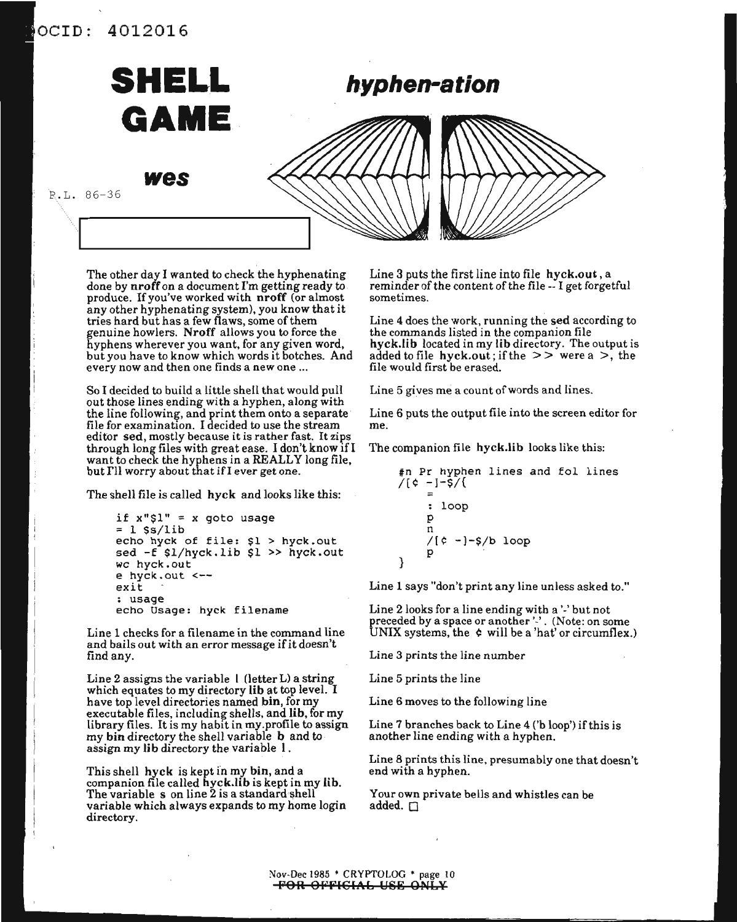### aCID: 4012016



The other day I wanted to check the hyphenating done by nroff on a document I'm getting ready to produce. Ifyou've worked with nroff (or almost any other hyphenating system), you know that it tries hard but has a few flaws, some of them genuine howlers. Nroff allows you to force the hyphens wherever you want, for any given word, but you have to know which words it botches. And every now and then one finds a new one ...

So I decided to build a little shell that would pull out those lines ending with a hyphen, along with the line following, and print them onto a separate file for examination. I decided to use the stream editor sed, mostly because it is rather fast. It zips through long files with great ease. <sup>I</sup> don't know in want to check the hyphens in a REALLY long file, but I'll worry about that if I ever get one.

The shell file is called hyck and looks like this:

```
if x''\$1" = x goto usage<br>= 1 $s/lib
echo hyck of file: $1 > hyck.out
sed -f $l/hyek.lib $1 » hyek.out
we hyek.out
e hyek.out <--
exit
: usage
echo Usage: hyck filename
```
Line 1 checks for a filename in the command line and bails out with an error message ifit doesn't find any.

Line 2 assigns the variable I (letter L) a string which equates to my directory lib at top level. I have top level directories named bin, for my executable files, including shells, and lib, for my library files. It is my habit in my.profile to assign my bin directory the shell variable b and to assign my lib directory the variable I.

This shell hyck is kept in my bin, and a companion file called hyck.lib is kept in my lib. The variable s on line 2 is a standard shell variable which always expands to my home login directory.

Line 3 puts the first line into file hyck.out, a reminder of the content of the file -- I get forgetful sometimes.

Line 4 does the work, running the sed according to the commands listed in the companion file hyck.lib located in my lib directory. The output is added to file hyck.out; if the  $\geq$  were a  $\geq$ , the file would first be erased.

Line 5 gives me a count of words and lines.

Line 6 puts the output file into the screen editor for me.

The companion file hyck.lib looks like this:

: loop p n /r¢ -]-\$/b loop p } tn Pr hyphen lines and Eol lines /(¢ -]-\$/{

Line 1 says "don't print any line unless asked to."

Line 2 looks for a line ending with a '-' but not preceded by a space or another '-' . (Note: on some UNIX systems, the ¢ will be a 'hat' or circumflex.)

Line 3 prints the line number

Line 5 prints the line

Line 6 moves to the following line

Line  $7$  branches back to Line  $4$  ('b loop') if this is another line ending with a hyphen.

Line 8 prints this line, presumably one that doesn't end with a hyphen.

Your own private bells and whistles can be added.  $\Box$ 

Nov-Dec 1985 • CRYPTOLOG \* page 10 <del>-FOR OFFICIAL USE ONLY</del>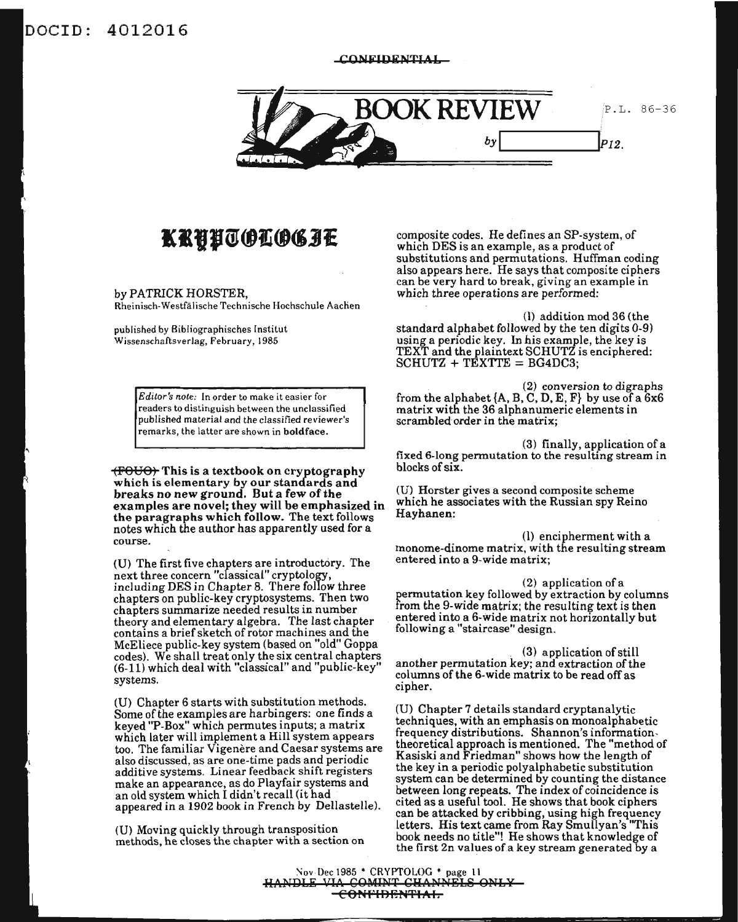### DOCID: 4012016

CONFIDENTIAL



# KRHHTOLOGIE

by PATRICK HORSTER.

Rheinisch-Westfälische Technische Hochschule Aachen

published by Bibliographisches Institut Wissenschaftsverlag, February, 1985

> Editor's note: In order to make it easier for readers to distinguish between the unclassified published material and the classified reviewer's remarks, the latter are shown in boldface.

(FOUO) This is a textbook on cryptography which is elementary by our standards and breaks no new ground. But a few of the examples are novel; they will be emphasized in the paragraphs which follow. The text follows notes which the author has apparently used for a course.

(U) The first five chapters are introductory. The next three concern "classical" cryptology,<br>including DES in Chapter 8. There follow three chapters on public-key cryptosystems. Then two chapters summarize needed results in number theory and elementary algebra. The last chapter contains a brief sketch of rotor machines and the McEliece public-key system (based on "old" Goppa codes). We shall treat only the six central chapters (6-11) which deal with "classical" and "public-key" systems.

(U) Chapter 6 starts with substitution methods. Some of the examples are harbingers: one finds a keyed "P-Box" which permutes inputs; a matrix<br>which later will implement a Hill system appears too. The familiar Vigenère and Caesar systems are also discussed, as are one-time pads and periodic additive systems. Linear feedback shift registers make an appearance, as do Playfair systems and an old system which I didn't recall (it had appeared in a 1902 book in French by Dellastelle).

(U) Moving quickly through transposition methods, he closes the chapter with a section on composite codes. He defines an SP-system, of which DES is an example, as a product of substitutions and permutations. Huffman coding also appears here. He says that composite ciphers can be very hard to break, giving an example in which three operations are performed:

(1) addition mod 36 (the standard alphabet followed by the ten digits 0-9) variance a periodic key. In his example, the key is<br>TEXT and the plaintext SCHUTZ is enciphered:<br>SCHUTZ + TEXTTE = BG4DC3;

(2) conversion to digraphs from the alphabet  $\{A, B, C, D, E, F\}$  by use of a  $6x6$ matrix with the 36 alphanumeric elements in scrambled order in the matrix;

(3) finally, application of a fixed 6-long permutation to the resulting stream in blocks of six.

(U) Horster gives a second composite scheme which he associates with the Russian spy Reino Hayhanen:

(l) encipherment with a monome-dinome matrix, with the resulting stream entered into a 9-wide matrix;

(2) application of a permutation key followed by extraction by columns from the 9-wide matrix; the resulting text is then entered into a 6-wide matrix not horizontally but following a "staircase" design.

(3) application of still another permutation key; and extraction of the columns of the 6-wide matrix to be read off as cipher.

(U) Chapter 7 details standard cryptanalytic techniques, with an emphasis on monoalphabetic frequency distributions. Shannon's informationtheoretical approach is mentioned. The "method of<br>Kasiski and Friedman" shows how the length of the key in a periodic polyalphabetic substitution system can be determined by counting the distance between long repeats. The index of coincidence is cited as a useful tool. He shows that book ciphers can be attacked by cribbing, using high frequency letters. His text came from Ray Smullyan's "This book needs no title"! He shows that knowledge of the first 2n values of a key stream generated by a

Nov-Dec 1985 \* CRYPTOLOG \* page 11<br>HANDLE VIA COMINT CHANNELS ONLY -CONFIDENTIAL-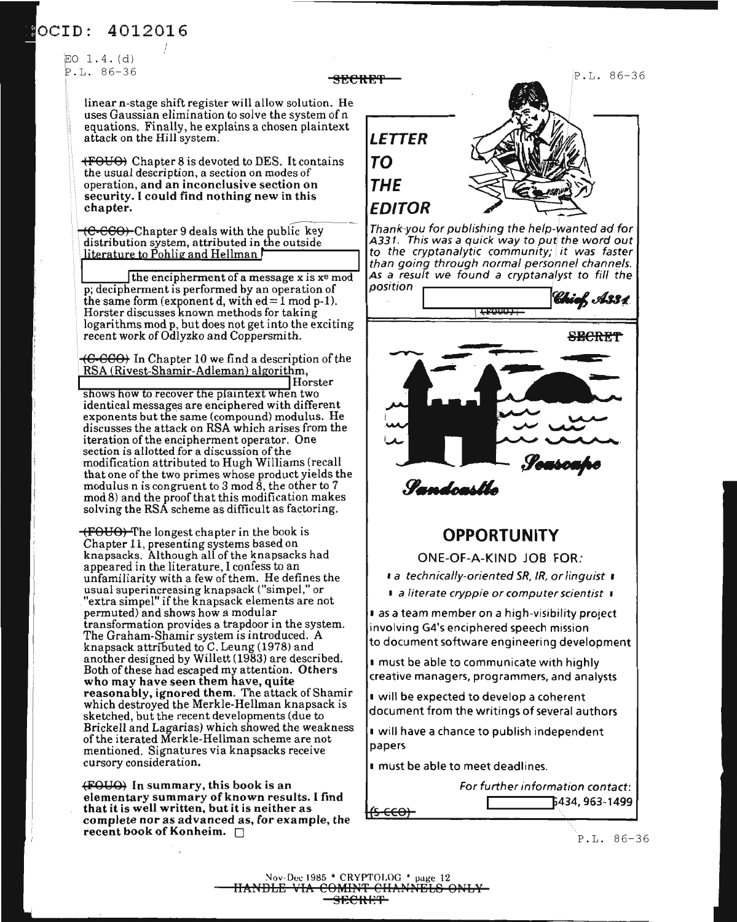### OCID: 4012016

EO 1. 4. (d) P.L. 86-36

> linear n-stage shift register will allow solution. He uses Gaussian elimination to solve the system of n equations. Finally, he explains a chosen plaintext attack on the Hill system.

(FOUO) Chapter 8 is devoted to DES. It contains the usual description, a section on modes of operation, and an inconclusive section on security. I could find nothing new in this chapter.

 $C-CCO$ ) Chapter 9 deals with the public key distribution system, attributed in the outside  $literature to Pohlig and Hellman$ 

the encipherment of a message x is xe mod p; decipherment is performed by an operation of the same form (exponent d, with  $ed=1 \mod p-1$ ). Horster discusses known methods for taking logarithms mod p, but does not get into the exciting recent work of Odlyzko and Coppersmith.

 $\left\langle 6\text{-}60\text{-}60\right\rangle$  In Chapter 10 we find a description of the RSA (Rivest-Shamir-Adleman) algorithm, Horster

shows how to recover the plaintext when two identical messages are enciphered with different exponents but the same (compound) modulus. He discusses the attack on RSA which arises from the iteration of the encipherment operator. One section is allotted for a discussion of the modification attributed to Hugh Williams (recall that one of the two primes whose product yields the modulus n is congruent to  $3 \mod 8$ , the other to  $7$ mod 8) and the proof that this modification makes solving the  $\operatorname{RSA}$  scheme as difficult as factoring.

 $+$ FOUO) The longest chapter in the book is Chapter 11, presenting systems based on knapsacks. Although all of the knapsacks had appeared in the literature, I confess to an unfamiliarity with a few of them. He defines the usual superincreasing knapsack ("simpel," or "extra simpel" ifthe knapsack elements are not permuted) and shows how a modular transformation provides a trapdoor in the system. The Graham-Shamir system is introduced. A knapsack attributed to C. Leung (1978) and another designed by Willett (1983) are described. Both of these had escaped my attention. Others who may have seen them have, quite reasonably, ignored them. The attack of Shamir which destroyed the Merkle-Hellman knapsack is sketched, but the recent developments (due to Brickell and Lagarias) which showed the weakness ofthe iterated Merkle-Hellman scheme are not mentioned. Signatures via knapsacks receive cursory consideration.

(FOUO) In summary, this book is an elementary summary of known results. I find complete nor as advanced as, for example, the recent book of Konheim.  $\square$ 



Thank-you for publishing the help-wanted ad for A331. This was a quick way to put the word out to the cryptanalytic community; it was faster than going through normal personnel channels.



Pandrastin

### **OPPORTUNITY**

ONE-OF-A-KIND JOB FOR:

1 a technically-oriented SR, IR, or linguist 1

I a literate cryppie or computer scientist I

<sup>I</sup> as a team member on a high-visibility project involving G4's enciphered speech mission to document software engineering development

<sup>I</sup> must be able to communicate with highly creative managers, programmers, and analysts

<sup>I</sup> will be expected to develop a coherent document from the writings of several authors

<sup>I</sup> will have a chance to publish independent papers

<sup>I</sup> must be able to meet deadlines.



P.L. 86-36

Nov-Dec 1985 \* CRYPTOLOG \* page 12 HANDLE VIA COMINT CHANNELS ONLY-<del>SECRET</del>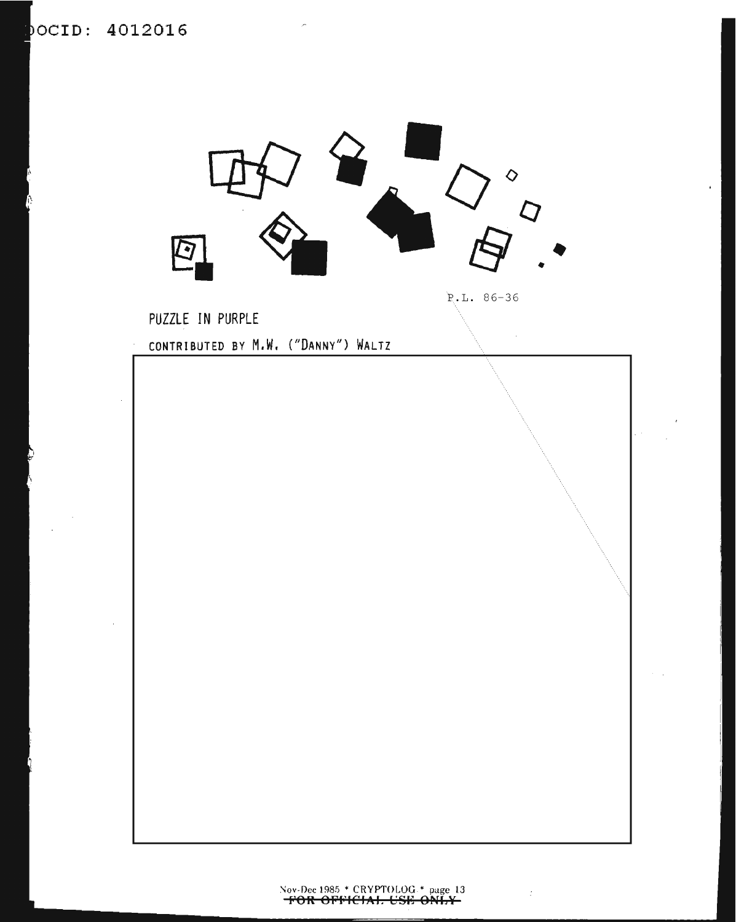

 $\mathcal{I}$